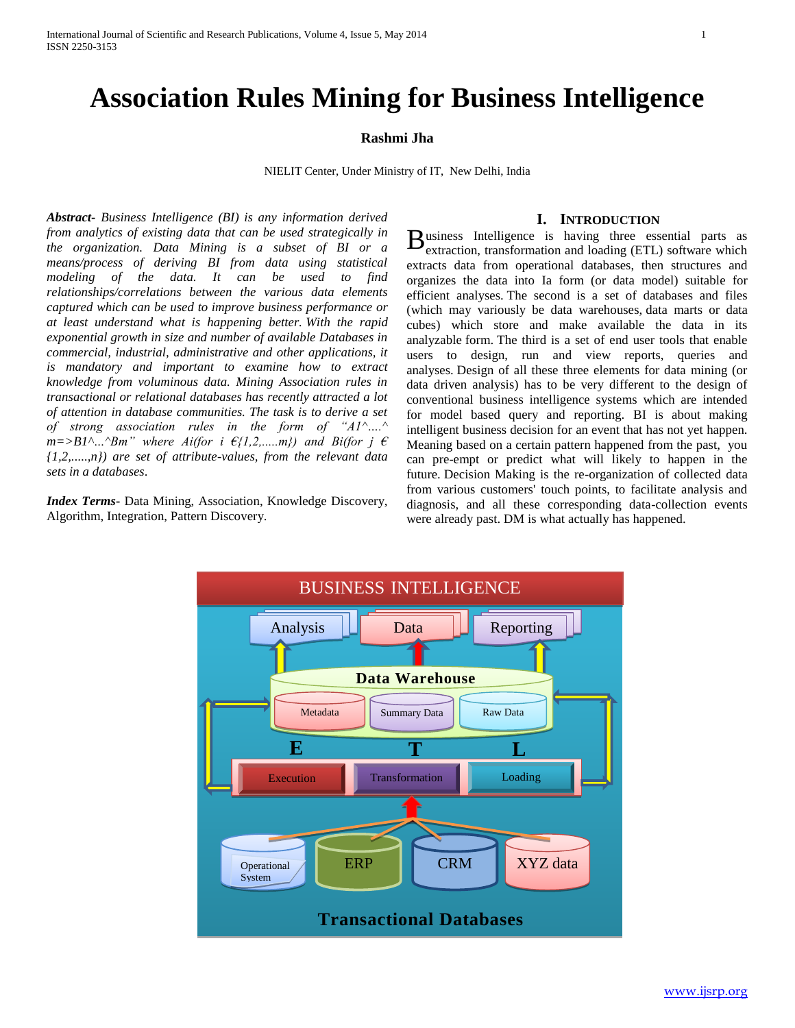# **Association Rules Mining for Business Intelligence**

# **Rashmi Jha**

NIELIT Center, Under Ministry of IT, New Delhi, India

*Abstract***-** *Business Intelligence (BI) is any information derived from analytics of existing data that can be used strategically in the organization. Data Mining is a subset of BI or a means/process of deriving BI from data using statistical modeling of the data. It can be used to find relationships/correlations between the various data elements captured which can be used to improve business performance or at least understand what is happening better. With the rapid exponential growth in size and number of available Databases in commercial, industrial, administrative and other applications, it is mandatory and important to examine how to extract knowledge from voluminous data. Mining Association rules in transactional or relational databases has recently attracted a lot of attention in database communities. The task is to derive a set of strong association rules in the form of "A1^….^*   $m = > B1$ ^...^Bm" where Ai(for i  $\epsilon$ {1,2,.....m}) and Bi(for j  $\epsilon$ *{1,2,.....,n}) are set of attribute-values, from the relevant data sets in a databases*.

*Index Terms***-** Data Mining, Association, Knowledge Discovery, Algorithm, Integration, Pattern Discovery.

**I. INTRODUCTION**

 $B_{\text{extraction}}$  Intelligence is having three essential parts as extraction transformation and loading (ETL) software which extraction, transformation and loading (ETL) software which extracts data from operational databases, then structures and organizes the data into Ia form (or data model) suitable for efficient analyses. The second is a set of databases and files (which may variously be data warehouses, data marts or data cubes) which store and make available the data in its analyzable form. The third is a set of end user tools that enable users to design, run and view reports, queries and analyses. Design of all these three elements for data mining (or data driven analysis) has to be very different to the design of conventional business intelligence systems which are intended for model based query and reporting. BI is about making intelligent business decision for an event that has not yet happen. Meaning based on a certain pattern happened from the past, you can pre-empt or predict what will likely to happen in the future. Decision Making is the re-organization of collected data from various customers' touch points, to facilitate analysis and diagnosis, and all these corresponding data-collection events were already past. DM is what actually has happened.

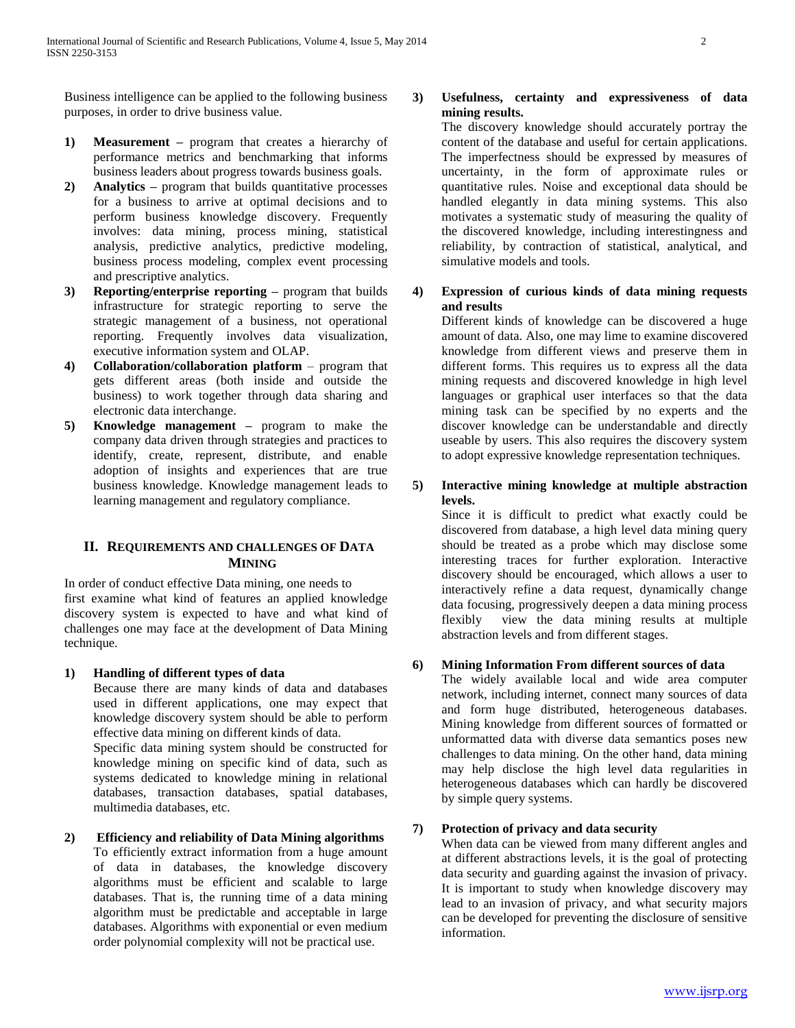Business intelligence can be applied to the following business purposes, in order to drive business value.

- **1) Measurement –** program that creates a hierarchy of performance metrics and benchmarking that informs business leaders about progress towards business goals.
- **2) Analytics –** program that builds quantitative processes for a business to arrive at optimal decisions and to perform business knowledge discovery. Frequently involves: data mining, process mining, statistical analysis, predictive analytics, predictive modeling, business process modeling, complex event processing and prescriptive analytics.
- **3) Reporting/enterprise reporting –** program that builds infrastructure for strategic reporting to serve the strategic management of a business, not operational reporting. Frequently involves data visualization, executive information system and OLAP.
- **4) Collaboration/collaboration platform** program that gets different areas (both inside and outside the business) to work together through data sharing and electronic data interchange.
- **5) Knowledge management –** program to make the company data driven through strategies and practices to identify, create, represent, distribute, and enable adoption of insights and experiences that are true business knowledge. Knowledge management leads to learning management and regulatory compliance.

# **II. REQUIREMENTS AND CHALLENGES OF DATA MINING**

In order of conduct effective Data mining, one needs to first examine what kind of features an applied knowledge discovery system is expected to have and what kind of challenges one may face at the development of Data Mining technique.

# **1) Handling of different types of data**

 Because there are many kinds of data and databases used in different applications, one may expect that knowledge discovery system should be able to perform effective data mining on different kinds of data.

 Specific data mining system should be constructed for knowledge mining on specific kind of data, such as systems dedicated to knowledge mining in relational databases, transaction databases, spatial databases, multimedia databases, etc.

**2) Efficiency and reliability of Data Mining algorithms** To efficiently extract information from a huge amount of data in databases, the knowledge discovery algorithms must be efficient and scalable to large databases. That is, the running time of a data mining algorithm must be predictable and acceptable in large databases. Algorithms with exponential or even medium order polynomial complexity will not be practical use.

# **3) Usefulness, certainty and expressiveness of data mining results.**

 The discovery knowledge should accurately portray the content of the database and useful for certain applications. The imperfectness should be expressed by measures of uncertainty, in the form of approximate rules or quantitative rules. Noise and exceptional data should be handled elegantly in data mining systems. This also motivates a systematic study of measuring the quality of the discovered knowledge, including interestingness and reliability, by contraction of statistical, analytical, and simulative models and tools.

## **4) Expression of curious kinds of data mining requests and results**

 Different kinds of knowledge can be discovered a huge amount of data. Also, one may lime to examine discovered knowledge from different views and preserve them in different forms. This requires us to express all the data mining requests and discovered knowledge in high level languages or graphical user interfaces so that the data mining task can be specified by no experts and the discover knowledge can be understandable and directly useable by users. This also requires the discovery system to adopt expressive knowledge representation techniques.

## **5) Interactive mining knowledge at multiple abstraction levels.**

 Since it is difficult to predict what exactly could be discovered from database, a high level data mining query should be treated as a probe which may disclose some interesting traces for further exploration. Interactive discovery should be encouraged, which allows a user to interactively refine a data request, dynamically change data focusing, progressively deepen a data mining process flexibly view the data mining results at multiple abstraction levels and from different stages.

# **6) Mining Information From different sources of data**

 The widely available local and wide area computer network, including internet, connect many sources of data and form huge distributed, heterogeneous databases. Mining knowledge from different sources of formatted or unformatted data with diverse data semantics poses new challenges to data mining. On the other hand, data mining may help disclose the high level data regularities in heterogeneous databases which can hardly be discovered by simple query systems.

# **7) Protection of privacy and data security**

 When data can be viewed from many different angles and at different abstractions levels, it is the goal of protecting data security and guarding against the invasion of privacy. It is important to study when knowledge discovery may lead to an invasion of privacy, and what security majors can be developed for preventing the disclosure of sensitive information.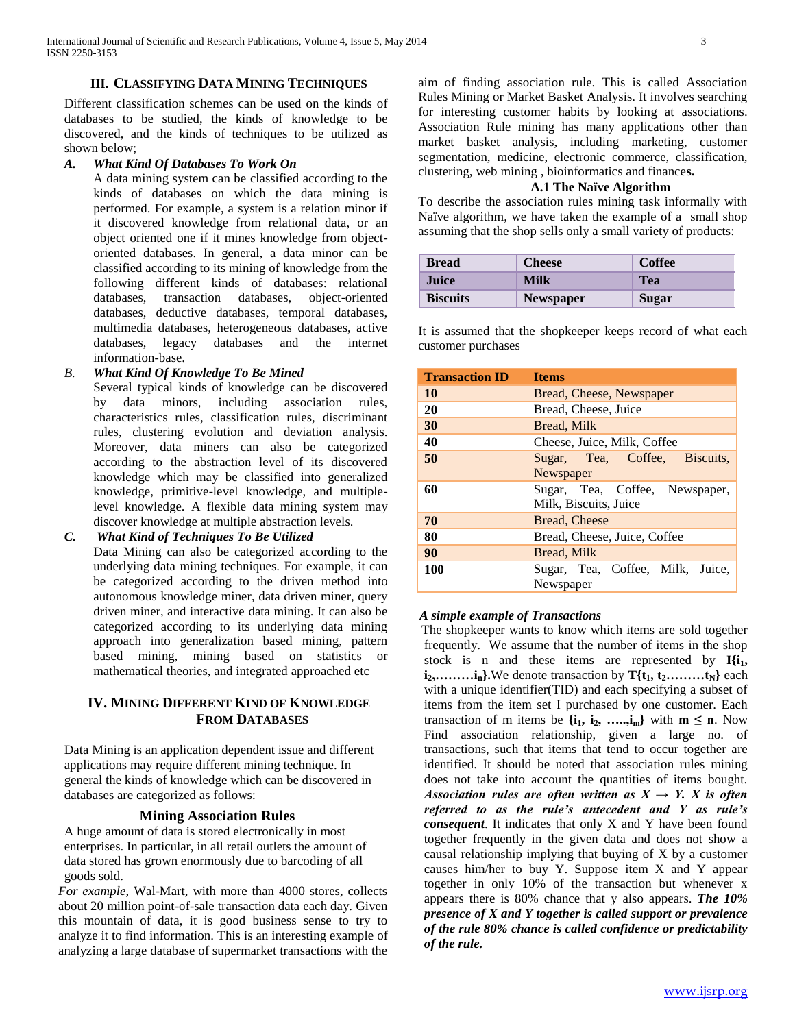## **III. CLASSIFYING DATA MINING TECHNIQUES**

Different classification schemes can be used on the kinds of databases to be studied, the kinds of knowledge to be discovered, and the kinds of techniques to be utilized as shown below;

#### *A. What Kind Of Databases To Work On*

 A data mining system can be classified according to the kinds of databases on which the data mining is performed. For example, a system is a relation minor if it discovered knowledge from relational data, or an object oriented one if it mines knowledge from objectoriented databases. In general, a data minor can be classified according to its mining of knowledge from the following different kinds of databases: relational databases, transaction databases, object-oriented databases, deductive databases, temporal databases, multimedia databases, heterogeneous databases, active databases, legacy databases and the internet information-base.

#### *B. What Kind Of Knowledge To Be Mined*

 Several typical kinds of knowledge can be discovered by data minors, including association rules, characteristics rules, classification rules, discriminant rules, clustering evolution and deviation analysis. Moreover, data miners can also be categorized according to the abstraction level of its discovered knowledge which may be classified into generalized knowledge, primitive-level knowledge, and multiplelevel knowledge. A flexible data mining system may discover knowledge at multiple abstraction levels.

*C. What Kind of Techniques To Be Utilized*

 Data Mining can also be categorized according to the underlying data mining techniques. For example, it can be categorized according to the driven method into autonomous knowledge miner, data driven miner, query driven miner, and interactive data mining. It can also be categorized according to its underlying data mining approach into generalization based mining, pattern based mining, mining based on statistics or mathematical theories, and integrated approached etc

# **IV. MINING DIFFERENT KIND OF KNOWLEDGE FROM DATABASES**

Data Mining is an application dependent issue and different applications may require different mining technique. In general the kinds of knowledge which can be discovered in databases are categorized as follows:

#### **Mining Association Rules**

A huge amount of data is stored electronically in most enterprises. In particular, in all retail outlets the amount of data stored has grown enormously due to barcoding of all goods sold.

*For example*, Wal-Mart, with more than 4000 stores, collects about 20 million point-of-sale transaction data each day. Given this mountain of data, it is good business sense to try to analyze it to find information. This is an interesting example of analyzing a large database of supermarket transactions with the aim of finding association rule. This is called Association Rules Mining or Market Basket Analysis. It involves searching for interesting customer habits by looking at associations. Association Rule mining has many applications other than market basket analysis, including marketing, customer segmentation, medicine, electronic commerce, classification, clustering, web mining , bioinformatics and finance**s.**

#### **A.1 The Naïve Algorithm**

To describe the association rules mining task informally with Naïve algorithm, we have taken the example of a small shop assuming that the shop sells only a small variety of products:

| <b>Bread</b>    | <b>Cheese</b>    | <b>Coffee</b> |
|-----------------|------------------|---------------|
| <b>Juice</b>    | <b>Milk</b>      | Tea           |
| <b>Biscuits</b> | <b>Newspaper</b> | Sugar         |

It is assumed that the shopkeeper keeps record of what each customer purchases

| <b>Transaction ID</b> | <b>Items</b>                                            |  |  |
|-----------------------|---------------------------------------------------------|--|--|
| 10                    | Bread, Cheese, Newspaper                                |  |  |
| 20                    | Bread, Cheese, Juice                                    |  |  |
| 30                    | Bread, Milk                                             |  |  |
| 40                    | Cheese, Juice, Milk, Coffee                             |  |  |
| 50                    | Sugar, Tea, Coffee, Biscuits,<br>Newspaper              |  |  |
| 60                    | Sugar, Tea, Coffee, Newspaper,<br>Milk, Biscuits, Juice |  |  |
| 70                    | Bread, Cheese                                           |  |  |
| 80                    | Bread, Cheese, Juice, Coffee                            |  |  |
| 90                    | Bread, Milk                                             |  |  |
| 100                   | Sugar, Tea, Coffee, Milk,<br>Juice.<br>Newspaper        |  |  |

#### *A simple example of Transactions*

The shopkeeper wants to know which items are sold together frequently. We assume that the number of items in the shop stock is n and these items are represented by **I{i1,**   $\mathbf{i}_2$ , ... ... ...  $\mathbf{i}_n$ . We denote transaction by  $\mathbf{T}\{\mathbf{t}_1, \mathbf{t}_2, \dots, \mathbf{t}_N\}$  each with a unique identifier(TID) and each specifying a subset of items from the item set I purchased by one customer. Each transaction of m items be  $\{i_1, i_2, \ldots, i_m\}$  with  $m \le n$ . Now Find association relationship, given a large no. of transactions, such that items that tend to occur together are identified. It should be noted that association rules mining does not take into account the quantities of items bought. *Association rules are often written as*  $X \rightarrow Y$ *. X is often referred to as the rule's antecedent and Y as rule's consequent*. It indicates that only X and Y have been found together frequently in the given data and does not show a causal relationship implying that buying of X by a customer causes him/her to buy Y. Suppose item X and Y appear together in only 10% of the transaction but whenever x appears there is 80% chance that y also appears. *The 10% presence of X and Y together is called support or prevalence of the rule 80% chance is called confidence or predictability of the rule.*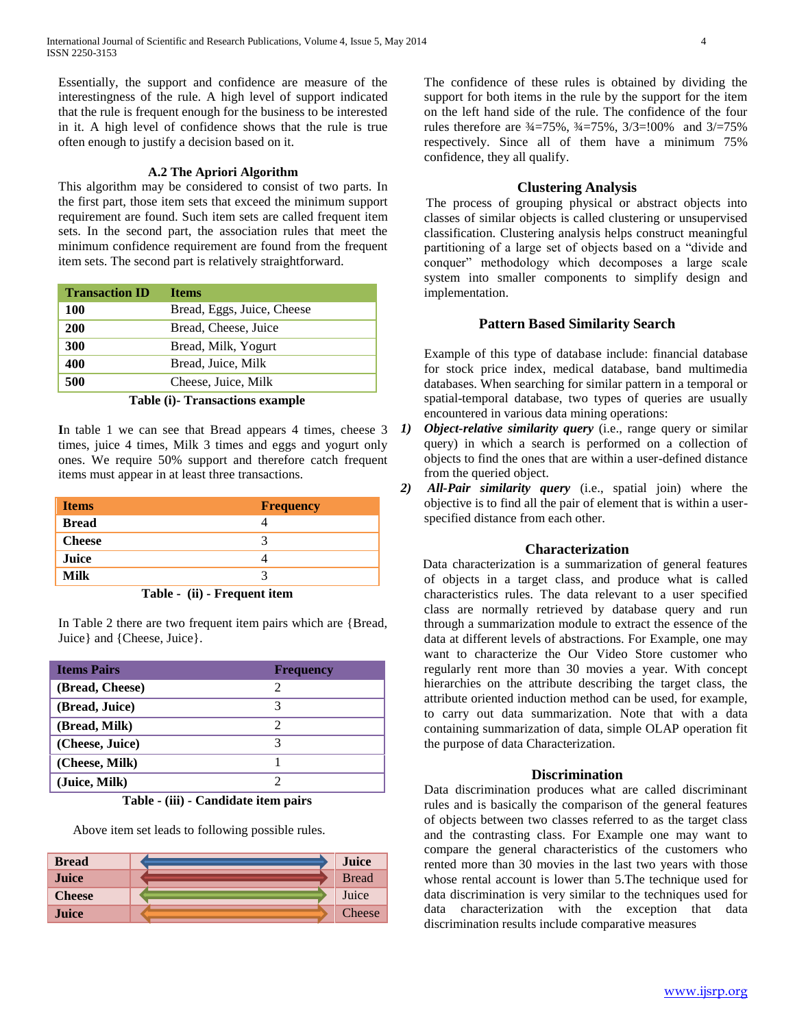Essentially, the support and confidence are measure of the interestingness of the rule. A high level of support indicated that the rule is frequent enough for the business to be interested in it. A high level of confidence shows that the rule is true often enough to justify a decision based on it.

## **A.2 The Apriori Algorithm**

This algorithm may be considered to consist of two parts. In the first part, those item sets that exceed the minimum support requirement are found. Such item sets are called frequent item sets. In the second part, the association rules that meet the minimum confidence requirement are found from the frequent item sets. The second part is relatively straightforward.

| <b>Ifems</b>               |  |
|----------------------------|--|
| Bread, Eggs, Juice, Cheese |  |
| Bread, Cheese, Juice       |  |
| Bread, Milk, Yogurt        |  |
| Bread, Juice, Milk         |  |
| Cheese, Juice, Milk        |  |
|                            |  |

**Table (i)- Transactions example**

In table 1 we can see that Bread appears 4 times, cheese  $3 \quad 1$ ) times, juice 4 times, Milk 3 times and eggs and yogurt only ones. We require 50% support and therefore catch frequent items must appear in at least three transactions.

| <b>Items</b>  |  | <b>Frequency</b>                                            |  |
|---------------|--|-------------------------------------------------------------|--|
| <b>Bread</b>  |  |                                                             |  |
| <b>Cheese</b> |  |                                                             |  |
| Juice         |  |                                                             |  |
| <b>Milk</b>   |  |                                                             |  |
|               |  | $\mathbf{m}$ is the $\mathbf{m}$ is the set of $\mathbf{m}$ |  |

**Table - (ii) - Frequent item**

In Table 2 there are two frequent item pairs which are {Bread, Juice} and {Cheese, Juice}.

| <b>Items Pairs</b> | <b>Frequency</b> |
|--------------------|------------------|
| (Bread, Cheese)    |                  |
| (Bread, Juice)     |                  |
| (Bread, Milk)      |                  |
| (Cheese, Juice)    |                  |
| (Cheese, Milk)     |                  |
| (Juice, Milk)      |                  |

**Table - (iii) - Candidate item pairs**

Above item set leads to following possible rules.

| <b>Bread</b>  |  | <b>Juice</b> |
|---------------|--|--------------|
| <b>Juice</b>  |  | <b>Bread</b> |
| <b>Cheese</b> |  | Juice        |
| <b>Juice</b>  |  | Cheese       |

The confidence of these rules is obtained by dividing the support for both items in the rule by the support for the item on the left hand side of the rule. The confidence of the four rules therefore are  $\frac{3}{4} = 75\%$ ,  $\frac{3}{4} = 75\%$ ,  $\frac{3}{3} = 100\%$  and  $\frac{3}{5} = 75\%$ respectively. Since all of them have a minimum 75% confidence, they all qualify.

#### **Clustering Analysis**

 The process of grouping physical or abstract objects into classes of similar objects is called clustering or unsupervised classification. Clustering analysis helps construct meaningful partitioning of a large set of objects based on a "divide and conquer" methodology which decomposes a large scale system into smaller components to simplify design and implementation.

#### **Pattern Based Similarity Search**

Example of this type of database include: financial database for stock price index, medical database, band multimedia databases. When searching for similar pattern in a temporal or spatial-temporal database, two types of queries are usually encountered in various data mining operations:

- *<i>Object-relative similarity query* (i.e., range query or similar query) in which a search is performed on a collection of objects to find the ones that are within a user-defined distance from the queried object.
- *2) All-Pair similarity query* (i.e., spatial join) where the objective is to find all the pair of element that is within a userspecified distance from each other.

## **Characterization**

 Data characterization is a summarization of general features of objects in a target class, and produce what is called characteristics rules. The data relevant to a user specified class are normally retrieved by database query and run through a summarization module to extract the essence of the data at different levels of abstractions. For Example, one may want to characterize the Our Video Store customer who regularly rent more than 30 movies a year. With concept hierarchies on the attribute describing the target class, the attribute oriented induction method can be used, for example, to carry out data summarization. Note that with a data containing summarization of data, simple OLAP operation fit the purpose of data Characterization.

#### **Discrimination**

Data discrimination produces what are called discriminant rules and is basically the comparison of the general features of objects between two classes referred to as the target class and the contrasting class. For Example one may want to compare the general characteristics of the customers who rented more than 30 movies in the last two years with those whose rental account is lower than 5.The technique used for data discrimination is very similar to the techniques used for data characterization with the exception that data discrimination results include comparative measures